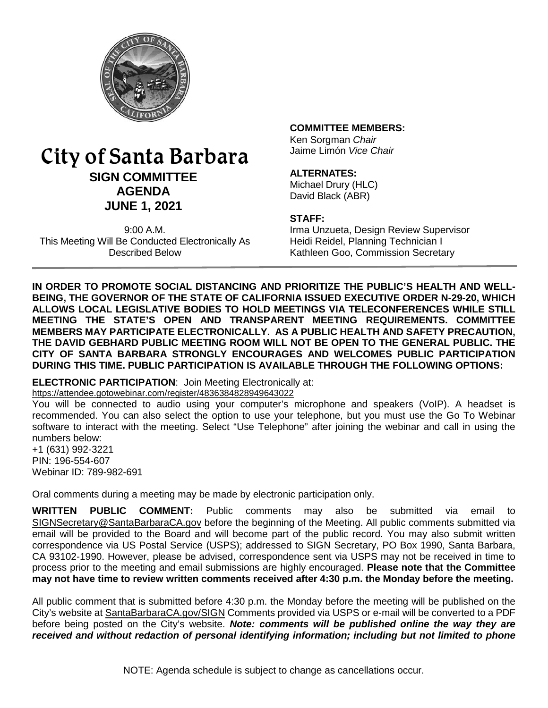

# City of Santa Barbara **SIGN COMMITTEE AGENDA JUNE 1, 2021**

9:00 A.M. This Meeting Will Be Conducted Electronically As Described Below

#### **COMMITTEE MEMBERS:**

Ken Sorgman *Chair* Jaime Limón *Vice Chair*

#### **ALTERNATES:**

Michael Drury (HLC) David Black (ABR)

#### **STAFF:**

Irma Unzueta, Design Review Supervisor Heidi Reidel, Planning Technician I Kathleen Goo, Commission Secretary

**IN ORDER TO PROMOTE SOCIAL DISTANCING AND PRIORITIZE THE PUBLIC'S HEALTH AND WELL-BEING, THE GOVERNOR OF THE STATE OF CALIFORNIA ISSUED EXECUTIVE ORDER N-29-20, WHICH ALLOWS LOCAL LEGISLATIVE BODIES TO HOLD MEETINGS VIA TELECONFERENCES WHILE STILL MEETING THE STATE'S OPEN AND TRANSPARENT MEETING REQUIREMENTS. COMMITTEE MEMBERS MAY PARTICIPATE ELECTRONICALLY. AS A PUBLIC HEALTH AND SAFETY PRECAUTION, THE DAVID GEBHARD PUBLIC MEETING ROOM WILL NOT BE OPEN TO THE GENERAL PUBLIC. THE CITY OF SANTA BARBARA STRONGLY ENCOURAGES AND WELCOMES PUBLIC PARTICIPATION DURING THIS TIME. PUBLIC PARTICIPATION IS AVAILABLE THROUGH THE FOLLOWING OPTIONS:**

# **ELECTRONIC PARTICIPATION**: Join Meeting Electronically at:

<https://attendee.gotowebinar.com/register/4836384828949643022>

You will be connected to audio using your computer's microphone and speakers (VoIP). A headset is recommended. You can also select the option to use your telephone, but you must use the Go To Webinar software to interact with the meeting. Select "Use Telephone" after joining the webinar and call in using the numbers below:

+1 (631) 992-3221 PIN: 196-554-607 Webinar ID: 789-982-691

Oral comments during a meeting may be made by electronic participation only.

**WRITTEN PUBLIC COMMENT:** Public comments may also be submitted via email to [SIGNSecretary@SantaBarbaraCA.gov](mailto:SIGNSecretary@SantaBarbaraCA.gov) before the beginning of the Meeting. All public comments submitted via email will be provided to the Board and will become part of the public record. You may also submit written correspondence via US Postal Service (USPS); addressed to SIGN Secretary, PO Box 1990, Santa Barbara, CA 93102-1990. However, please be advised, correspondence sent via USPS may not be received in time to process prior to the meeting and email submissions are highly encouraged. **Please note that the Committee may not have time to review written comments received after 4:30 p.m. the Monday before the meeting.**

All public comment that is submitted before 4:30 p.m. the Monday before the meeting will be published on the City's website at [SantaBarbaraCA.gov/SIGN](http://www.santabarbaraca.gov/SIGN) Comments provided via USPS or e-mail will be converted to a PDF before being posted on the City's website. *Note: comments will be published online the way they are received and without redaction of personal identifying information; including but not limited to phone*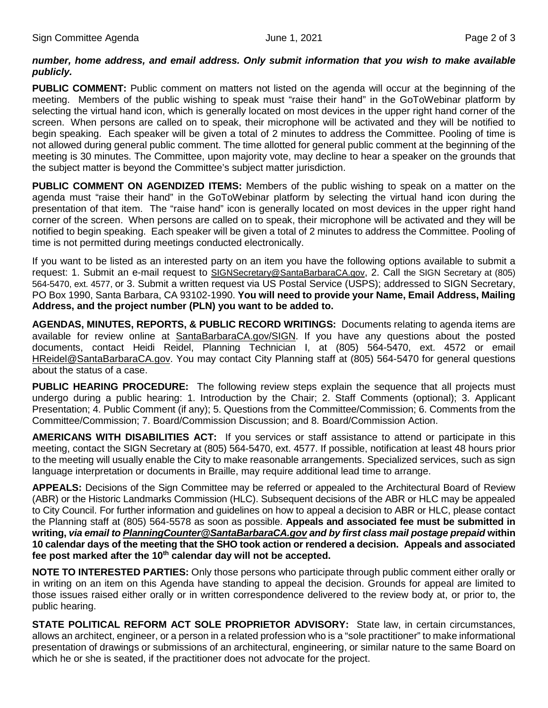#### *number, home address, and email address. Only submit information that you wish to make available publicly.*

**PUBLIC COMMENT:** Public comment on matters not listed on the agenda will occur at the beginning of the meeting. Members of the public wishing to speak must "raise their hand" in the GoToWebinar platform by selecting the virtual hand icon, which is generally located on most devices in the upper right hand corner of the screen. When persons are called on to speak, their microphone will be activated and they will be notified to begin speaking. Each speaker will be given a total of 2 minutes to address the Committee. Pooling of time is not allowed during general public comment. The time allotted for general public comment at the beginning of the meeting is 30 minutes. The Committee, upon majority vote, may decline to hear a speaker on the grounds that the subject matter is beyond the Committee's subject matter jurisdiction.

**PUBLIC COMMENT ON AGENDIZED ITEMS:** Members of the public wishing to speak on a matter on the agenda must "raise their hand" in the GoToWebinar platform by selecting the virtual hand icon during the presentation of that item. The "raise hand" icon is generally located on most devices in the upper right hand corner of the screen. When persons are called on to speak, their microphone will be activated and they will be notified to begin speaking. Each speaker will be given a total of 2 minutes to address the Committee. Pooling of time is not permitted during meetings conducted electronically.

If you want to be listed as an interested party on an item you have the following options available to submit a request: 1. Submit an e-mail request to [SIGNSecretary@SantaBarbaraCA.gov,](mailto:SIGNSecretary@SantaBarbaraCA.gov) 2. Call the SIGN Secretary at (805) 564-5470, ext. 4577, or 3. Submit a written request via US Postal Service (USPS); addressed to SIGN Secretary, PO Box 1990, Santa Barbara, CA 93102-1990. **You will need to provide your Name, Email Address, Mailing Address, and the project number (PLN) you want to be added to.**

**AGENDAS, MINUTES, REPORTS, & PUBLIC RECORD WRITINGS:** Documents relating to agenda items are available for review online at [SantaBarbaraCA.gov/SIGN.](http://www.santabarbaraca.gov/SIGN) If you have any questions about the posted documents, contact Heidi Reidel, Planning Technician I, at (805) 564-5470, ext. 4572 or email [HReidel@SantaBarbaraCA.gov.](mailto:HReidel@SantaBarbaraCA.gov) You may contact City Planning staff at (805) 564-5470 for general questions about the status of a case.

**PUBLIC HEARING PROCEDURE:** The following review steps explain the sequence that all projects must undergo during a public hearing: 1. Introduction by the Chair; 2. Staff Comments (optional); 3. Applicant Presentation; 4. Public Comment (if any); 5. Questions from the Committee/Commission; 6. Comments from the Committee/Commission; 7. Board/Commission Discussion; and 8. Board/Commission Action.

**AMERICANS WITH DISABILITIES ACT:** If you services or staff assistance to attend or participate in this meeting, contact the SIGN Secretary at (805) 564-5470, ext. 4577. If possible, notification at least 48 hours prior to the meeting will usually enable the City to make reasonable arrangements. Specialized services, such as sign language interpretation or documents in Braille, may require additional lead time to arrange.

**APPEALS:** Decisions of the Sign Committee may be referred or appealed to the Architectural Board of Review (ABR) or the Historic Landmarks Commission (HLC). Subsequent decisions of the ABR or HLC may be appealed to City Council. For further information and guidelines on how to appeal a decision to ABR or HLC, please contact the Planning staff at (805) 564-5578 as soon as possible. **Appeals and associated fee must be submitted in writing,** *via email t[o PlanningCounter@SantaBarbaraCA.gov](mailto:PlanningCounter@SantaBarbaraCA.gov) and by first class mail postage prepaid* **within 10 calendar days of the meeting that the SHO took action or rendered a decision. Appeals and associated fee post marked after the 10th calendar day will not be accepted.** 

**NOTE TO INTERESTED PARTIES:** Only those persons who participate through public comment either orally or in writing on an item on this Agenda have standing to appeal the decision. Grounds for appeal are limited to those issues raised either orally or in written correspondence delivered to the review body at, or prior to, the public hearing.

**STATE POLITICAL REFORM ACT SOLE PROPRIETOR ADVISORY:** State law, in certain circumstances, allows an architect, engineer, or a person in a related profession who is a "sole practitioner" to make informational presentation of drawings or submissions of an architectural, engineering, or similar nature to the same Board on which he or she is seated, if the practitioner does not advocate for the project.